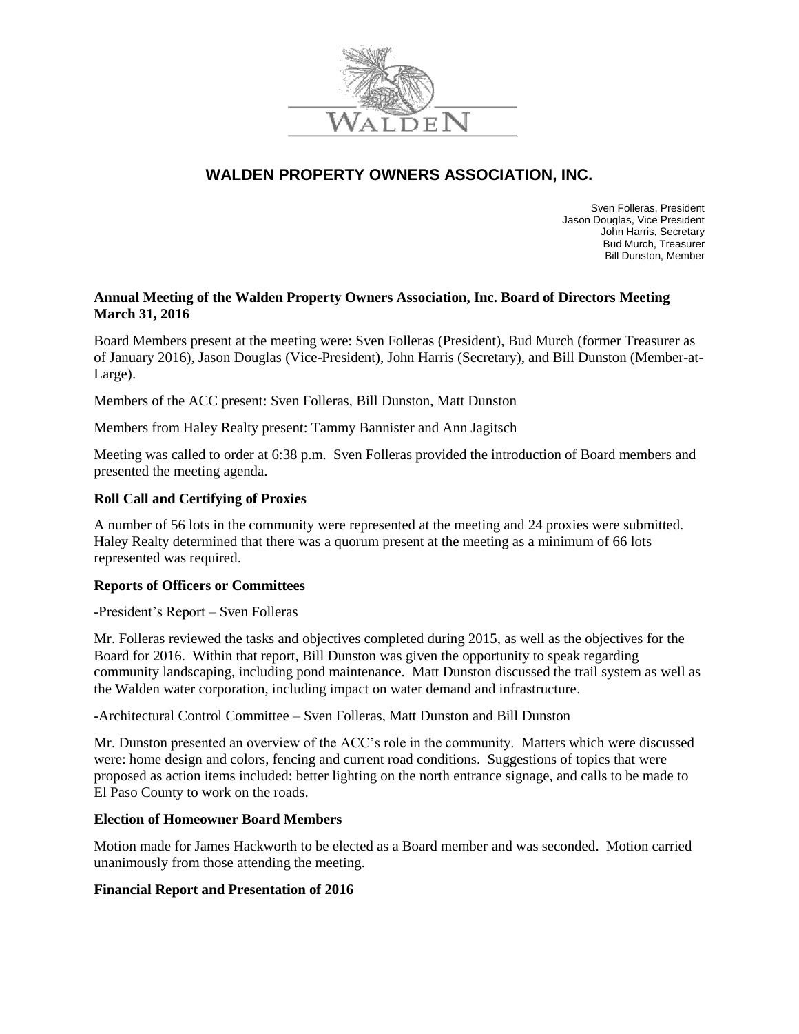

# **WALDEN PROPERTY OWNERS ASSOCIATION, INC.**

Sven Folleras, President Jason Douglas, Vice President John Harris, Secretary Bud Murch, Treasurer Bill Dunston, Member

## **Annual Meeting of the Walden Property Owners Association, Inc. Board of Directors Meeting March 31, 2016**

Board Members present at the meeting were: Sven Folleras (President), Bud Murch (former Treasurer as of January 2016), Jason Douglas (Vice-President), John Harris (Secretary), and Bill Dunston (Member-at-Large).

Members of the ACC present: Sven Folleras, Bill Dunston, Matt Dunston

Members from Haley Realty present: Tammy Bannister and Ann Jagitsch

Meeting was called to order at 6:38 p.m. Sven Folleras provided the introduction of Board members and presented the meeting agenda.

### **Roll Call and Certifying of Proxies**

A number of 56 lots in the community were represented at the meeting and 24 proxies were submitted. Haley Realty determined that there was a quorum present at the meeting as a minimum of 66 lots represented was required.

## **Reports of Officers or Committees**

-President's Report – Sven Folleras

Mr. Folleras reviewed the tasks and objectives completed during 2015, as well as the objectives for the Board for 2016. Within that report, Bill Dunston was given the opportunity to speak regarding community landscaping, including pond maintenance. Matt Dunston discussed the trail system as well as the Walden water corporation, including impact on water demand and infrastructure.

-Architectural Control Committee – Sven Folleras, Matt Dunston and Bill Dunston

Mr. Dunston presented an overview of the ACC's role in the community. Matters which were discussed were: home design and colors, fencing and current road conditions. Suggestions of topics that were proposed as action items included: better lighting on the north entrance signage, and calls to be made to El Paso County to work on the roads.

#### **Election of Homeowner Board Members**

Motion made for James Hackworth to be elected as a Board member and was seconded. Motion carried unanimously from those attending the meeting.

## **Financial Report and Presentation of 2016**